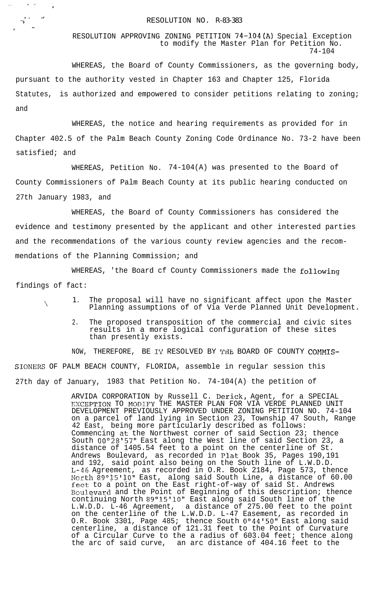## and the set of the RESOLUTION NO. R-83-383

 $\delta$  ,  $\delta$  ,  $\delta$  ,  $\delta$  ,  $\delta$ 

, where  $\mathcal{L}_{\mathcal{A}}$ 

I\* re

.

 $\mathcal{L}_{\mathcal{L}}$ 

RESOLUTION APPROVING ZONING PETITION 74-104(A) Special Exception to modify the Master Plan for Petition No. 74-104

WHEREAS, the Board of County Commissioners, as the governing body, pursuant to the authority vested in Chapter 163 and Chapter 125, Florida Statutes, is authorized and empowered to consider petitions relating to zoning; and

WHEREAS, the notice and hearing requirements as provided for in Chapter 402.5 of the Palm Beach County Zoning Code Ordinance No. 73-2 have been satisfied; and

WHEREAS, Petition No. 74-104(A) was presented to the Board of County Commissioners of Palm Beach County at its public hearing conducted on 27th January 1983, and

WHEREAS, the Board of County Commissioners has considered the evidence and testimony presented by the applicant and other interested parties and the recommendations of the various county review agencies and the recommendations of the Planning Commission; and

WHEREAS, 'the Board cf County Commissioners made the following findings of fact:

- 1. The proposal will have no significant affect upon the Master Planning assumptions of of Via Verde Planned Unit Development.
	- 2. The proposed transposition of the commercial and civic sites results in a more logical configuration of these sites than presently exists.

NOW, THEREFORE, BE IT RESOLVED BY THE BOARD OF COUNTY COMMIS-SIONERS OF PALM BEACH COUNTY, FLORIDA, assemble in regular session this 27th day of January, 1983 that Petition No. 74-104(A) the petition of

> ARVIDA CORPORATION by Russell C. Derick, Agent, for a SPECIAL EXCEPTION TO MODIFY THE MASTER PLAN FOR VIA VERDE PLANNED UNIT DEVELOPMENT PREVIOUSLY APPROVED UNDER ZONING PETITION NO. 74-104 on a parcel of land lying in Section 23, Township 47 South, Range 42 East, being more particularly described as follows: Commencing at the Northwest corner of said Section 23; thence South 00'28'57" East along the West line of said Section 23, a distance of 1405.54 feet to a point on the centerline of St. Andrews Boulevard, as recorded in Plat Book 35, Pages 190,191 and 192, said point also being on the South line of L.W.D.D. L-46 Agreement, as recorded in O.R. Book 2184, Page 573, thence Ncrth 89°J5'10" East, along said South Line, a distance of 60.00 feet to a point on the East right-of-way of said St. Andrews Eoulevard and the Point of Beginning of this description; thence continuing North 89°15'10" East along said South line of the L.W.D.D. L-46 Agreement, a distance of 275.00 feet to the point on the centerline of the L.W.D.D. L-47 Easement, as recorded in O.R. Book 3301, Page 485; thence South O"44'50" East along said centerline, a distance of 121.31 feet to the Point of Curvature of a Circular Curve to the a radius of 603.04 feet; thence along the arc of said curve, an arc distance of 404.16 feet to the